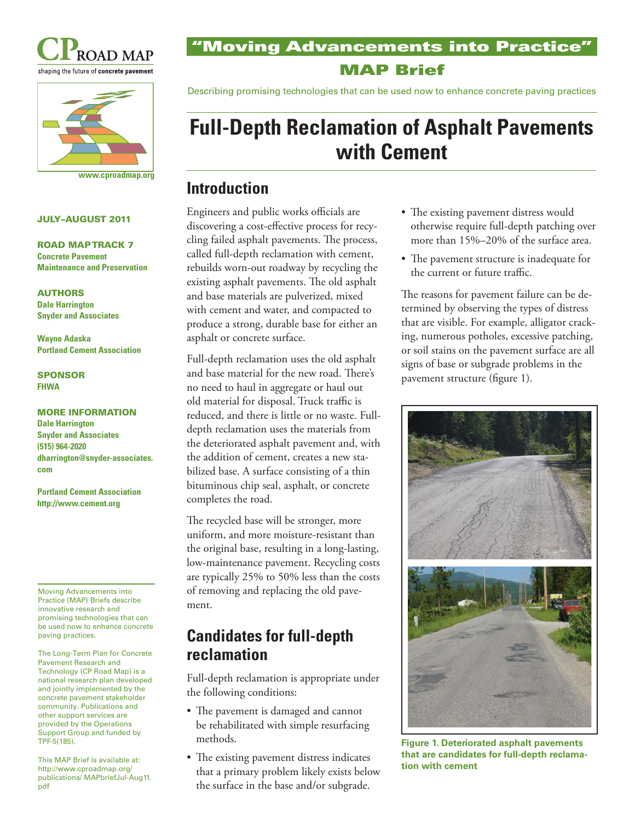



**www.cproadmap.org**

#### **JULY–AUGUST 2011**

**ROAD MAP TRACK 7 Concrete Pavement Maintenance and Preservation**

**AUTHORS Dale Harrington Snyder and Associates**

**Wayne Adaska Portland Cement Association**

#### **SPONSOR FHWA**

**MORE INFORMATION Dale Harrington Snyder and Associates (515) 964-2020 dharrington@snyder-associates. com**

**Portland Cement Association http://www.cement.org**

Moving Advancements into Practice (MAP) Briefs describe innovative research and promising technologies that can be used now to enhance concrete paving practices.

The Long-Term Plan for Concrete Pavement Research and Technology (CP Road Map) is a national research plan developed and jointly implemented by the concrete pavement stakeholder community. Publications and other support services are provided by the Operations Support Group and funded by TPF-5(185).

This MAP Brief is available at: http://www.cproadmap.org/ publications/ MAPbriefJul-Aug11. pdf

### **"Moving Advancements into Practice" MAP Brief**

Describing promising technologies that can be used now to enhance concrete paving practices

# **Full-Depth Reclamation of Asphalt Pavements with Cement**

### **Introduction**

Engineers and public works officials are discovering a cost-effective process for recycling failed asphalt pavements. The process, called full-depth reclamation with cement, rebuilds worn-out roadway by recycling the existing asphalt pavements. The old asphalt and base materials are pulverized, mixed with cement and water, and compacted to produce a strong, durable base for either an asphalt or concrete surface.

Full-depth reclamation uses the old asphalt and base material for the new road. There's no need to haul in aggregate or haul out old material for disposal. Truck traffic is reduced, and there is little or no waste. Fulldepth reclamation uses the materials from the deteriorated asphalt pavement and, with the addition of cement, creates a new stabilized base. A surface consisting of a thin bituminous chip seal, asphalt, or concrete completes the road.

The recycled base will be stronger, more uniform, and more moisture-resistant than the original base, resulting in a long-lasting, low-maintenance pavement. Recycling costs are typically 25% to 50% less than the costs of removing and replacing the old pavement.

# **Candidates for full-depth reclamation**

Full-depth reclamation is appropriate under the following conditions:

- The pavement is damaged and cannot be rehabilitated with simple resurfacing methods.
- The existing pavement distress indicates that a primary problem likely exists below the surface in the base and/or subgrade.
- The existing pavement distress would otherwise require full-depth patching ove r more than 15%–20% of the surface area.
- The pavement structure is inadequate for the current or future traffic.

The reasons for pavement failure can be determined by observing the types of distress that are visible. For example, alligator crack ing, numerous potholes, excessive patching, or soil stains on the pavement surface are all signs of base or subgrade problems in the pavement structure (figure 1).



**Figure 1. Deteriorated asphalt pavements that are candidates for full-depth reclamation with cement**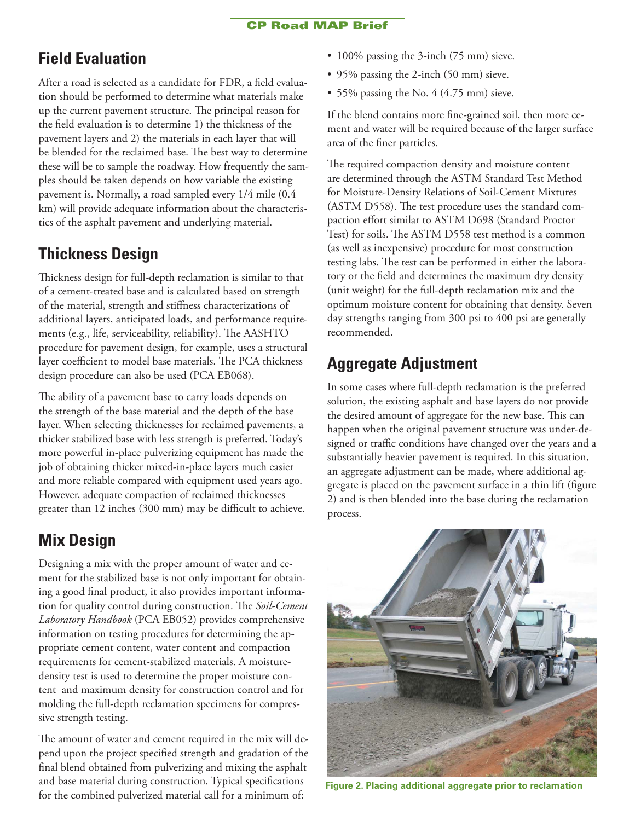# **Field Evaluation**

After a road is selected as a candidate for FDR, a field evaluation should be performed to determine what materials make up the current pavement structure. The principal reason for the field evaluation is to determine 1) the thickness of the pavement layers and 2) the materials in each layer that will be blended for the reclaimed base. The best way to determine these will be to sample the roadway. How frequently the samples should be taken depends on how variable the existing pavement is. Normally, a road sampled every 1/4 mile (0.4 km) will provide adequate information about the characteristics of the asphalt pavement and underlying material.

# **Thickness Design**

Thickness design for full-depth reclamation is similar to that of a cement-treated base and is calculated based on strength of the material, strength and stiffness characterizations of additional layers, anticipated loads, and performance requirements (e.g., life, serviceability, reliability). The AASHTO procedure for pavement design, for example, uses a structural layer coefficient to model base materials. The PCA thickness design procedure can also be used (PCA EB068).

The ability of a pavement base to carry loads depends on the strength of the base material and the depth of the base layer. When selecting thicknesses for reclaimed pavements, a thicker stabilized base with less strength is preferred. Today's more powerful in-place pulverizing equipment has made the job of obtaining thicker mixed-in-place layers much easier and more reliable compared with equipment used years ago. However, adequate compaction of reclaimed thicknesses greater than 12 inches (300 mm) may be difficult to achieve.

# **Mix Design**

Designing a mix with the proper amount of water and cement for the stabilized base is not only important for obtaining a good final product, it also provides important information for quality control during construction. The *Soil-Cement Laboratory Handbook* (PCA EB052) provides comprehensive information on testing procedures for determining the appropriate cement content, water content and compaction requirements for cement-stabilized materials. A moisturedensity test is used to determine the proper moisture content and maximum density for construction control and for molding the full-depth reclamation specimens for compressive strength testing.

The amount of water and cement required in the mix will depend upon the project specified strength and gradation of the final blend obtained from pulverizing and mixing the asphalt and base material during construction. Typical specifications for the combined pulverized material call for a minimum of:

- 100% passing the 3-inch (75 mm) sieve.
- 95% passing the 2-inch (50 mm) sieve.
- 55% passing the No. 4 (4.75 mm) sieve.

If the blend contains more fine-grained soil, then more cement and water will be required because of the larger surface area of the finer particles.

The required compaction density and moisture content are determined through the ASTM Standard Test Method for Moisture-Density Relations of Soil-Cement Mixtures (ASTM D558). The test procedure uses the standard compaction effort similar to ASTM D698 (Standard Proctor Test) for soils. The ASTM D558 test method is a common (as well as inexpensive) procedure for most construction testing labs. The test can be performed in either the laboratory or the field and determines the maximum dry density (unit weight) for the full-depth reclamation mix and the optimum moisture content for obtaining that density. Seven day strengths ranging from 300 psi to 400 psi are generally recommended.

# **Aggregate Adjustment**

In some cases where full-depth reclamation is the preferred solution, the existing asphalt and base layers do not provide the desired amount of aggregate for the new base. This can happen when the original pavement structure was under-designed or traffic conditions have changed over the years and a substantially heavier pavement is required. In this situation, an aggregate adjustment can be made, where additional aggregate is placed on the pavement surface in a thin lift (figure 2) and is then blended into the base during the reclamation process.



**Figure 2. Placing additional aggregate prior to reclamation**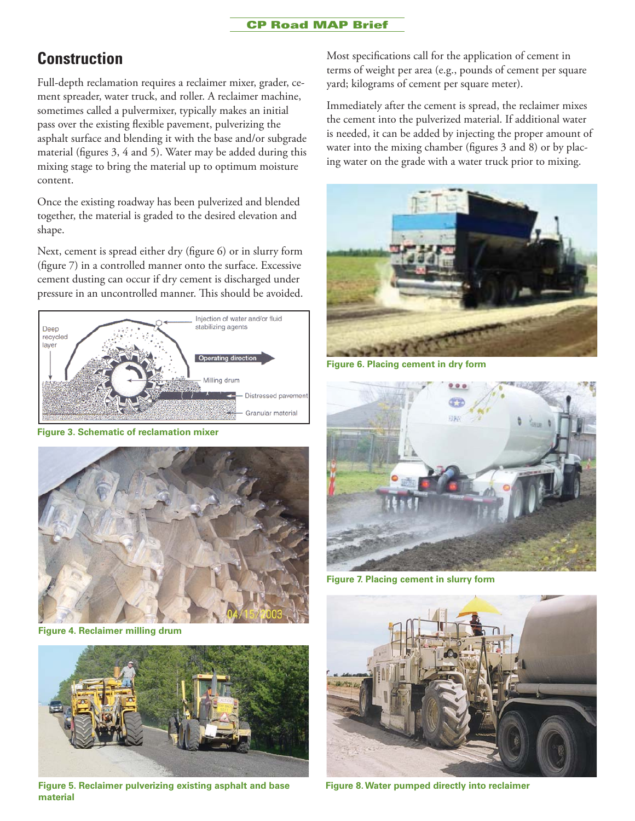#### **CP Road MAP Brief**

### **Construction**

Full-depth reclamation requires a reclaimer mixer, grader, cement spreader, water truck, and roller. A reclaimer machine, sometimes called a pulvermixer, typically makes an initial pass over the existing flexible pavement, pulverizing the asphalt surface and blending it with the base and/or subgrade material (figures 3, 4 and 5). Water may be added during this mixing stage to bring the material up to optimum moisture content.

Once the existing roadway has been pulverized and blended together, the material is graded to the desired elevation and shape.

Next, cement is spread either dry (figure 6) or in slurry form (figure 7) in a controlled manner onto the surface. Excessive cement dusting can occur if dry cement is discharged under pressure in an uncontrolled manner. This should be avoided.



**Figure 3. Schematic of reclamation mixer**



**Figure 4. Reclaimer milling drum**



**Figure 5. Reclaimer pulverizing existing asphalt and base material**

Most specifications call for the application of cement in terms of weight per area (e.g., pounds of cement per square yard; kilograms of cement per square meter).

Immediately after the cement is spread, the reclaimer mixes the cement into the pulverized material. If additional water is needed, it can be added by injecting the proper amount of water into the mixing chamber (figures 3 and 8) or by placing water on the grade with a water truck prior to mixing.



**Figure 6. Placing cement in dry form**



**Figure 7. Placing cement in slurry form**



**Figure 8. Water pumped directly into reclaimer**